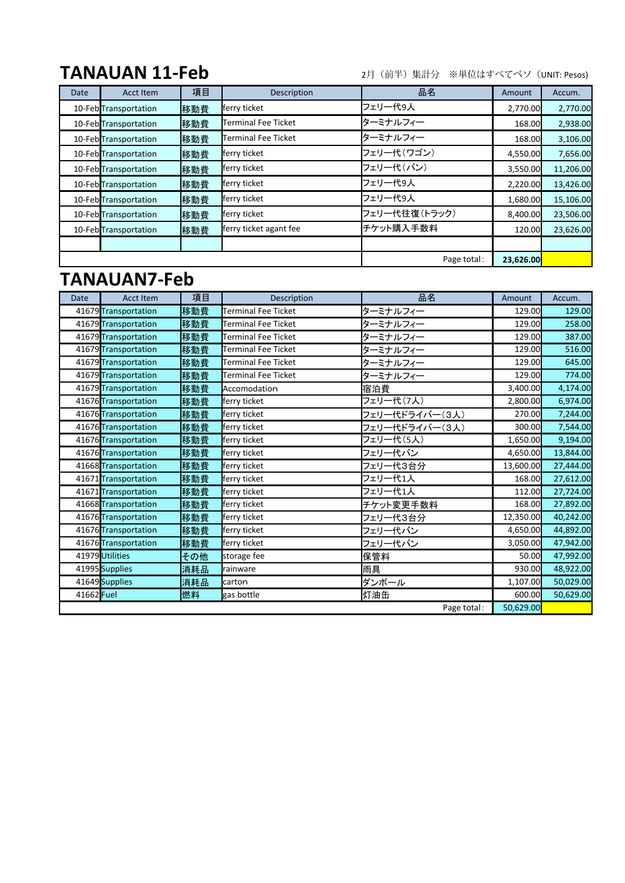## **TANAUAN 11-Feb**

2月(前半)集計分 ※単位はすべてペソ(UNIT: Pesos)

| Date        | Acct Item             | 項目  | <b>Description</b>     | 品名            | Amount    | Accum.    |
|-------------|-----------------------|-----|------------------------|---------------|-----------|-----------|
|             | 10-Feb Transportation | 移動費 | ferry ticket           | フェリー代9人       | 2,770.00  | 2,770.00  |
|             | 10-Feb Transportation | 移動費 | Terminal Fee Ticket    | ターミナルフィー      | 168.00    | 2,938.00  |
|             | 10-Feb Transportation | 移動費 | Terminal Fee Ticket    | ターミナルフィー      | 168.00    | 3,106.00  |
|             | 10-Feb Transportation | 移動費 | ferry ticket           | フェリー代(ワゴン)    | 4,550.00  | 7,656.00  |
|             | 10-Feb Transportation | 移動費 | ferry ticket           | フェリー代(バン)     | 3,550.00  | 11,206.00 |
|             | 10-Feb Transportation | 移動費 | ferry ticket           | フェリー代9人       | 2,220.00  | 13,426.00 |
|             | 10-Feb Transportation | 移動費 | ferry ticket           | フェリー代9人       | 1,680.00  | 15,106.00 |
|             | 10-Feb Transportation | 移動費 | ferry ticket           | フェリー代往復(トラック) | 8,400.00  | 23,506.00 |
|             | 10-Feb Transportation | 移動費 | ferry ticket agant fee | チケット購入手数料     | 120.00    | 23,626.00 |
|             |                       |     |                        |               |           |           |
| Page total: |                       |     |                        |               | 23,626.00 |           |

## **TANAUAN7-Feb**

| <b>Date</b> | <b>Acct Item</b>     | 項目  | <b>Description</b>  | 品名             | Amount    | Accum.    |
|-------------|----------------------|-----|---------------------|----------------|-----------|-----------|
|             | 41679 Transportation | 移動費 | Terminal Fee Ticket | ターミナルフィー       | 129.00    | 129.00    |
|             | 41679 Transportation | 移動費 | Terminal Fee Ticket | ターミナルフィー       | 129.00    | 258.00    |
|             | 41679 Transportation | 移動費 | Terminal Fee Ticket | ターミナルフィー       | 129.00    | 387.00    |
|             | 41679 Transportation | 移動費 | Terminal Fee Ticket | ターミナルフィー       | 129.00    | 516.00    |
|             | 41679 Transportation | 移動費 | Terminal Fee Ticket | ターミナルフィー       | 129.00    | 645.00    |
|             | 41679 Transportation | 移動費 | Terminal Fee Ticket | ターミナルフィー       | 129.00    | 774.00    |
|             | 41679 Transportation | 移動費 | Accomodation        | 宿泊費            | 3,400.00  | 4,174.00  |
|             | 41676 Transportation | 移動費 | ferry ticket        | フェリー代(7人)      | 2,800.00  | 6,974.00  |
|             | 41676 Transportation | 移動費 | ferry ticket        | フェリー代ドライバー(3人) | 270.00    | 7,244.00  |
|             | 41676 Transportation | 移動費 | ferry ticket        | フェリー代ドライバー(3人) | 300.00    | 7,544.00  |
|             | 41676 Transportation | 移動費 | ferry ticket        | フェリー代(5人)      | 1,650.00  | 9,194.00  |
|             | 41676 Transportation | 移動費 | ferry ticket        | フェリー代バン        | 4,650.00  | 13,844.00 |
|             | 41668 Transportation | 移動費 | ferry ticket        | フェリー代3台分       | 13,600.00 | 27,444.00 |
|             | 41671 Transportation | 移動費 | ferry ticket        | フェリー代1人        | 168.00    | 27,612.00 |
|             | 41671 Transportation | 移動費 | ferry ticket        | フェリー代1人        | 112.00    | 27,724.00 |
|             | 41668 Transportation | 移動費 | ferry ticket        | チケット変更手数料      | 168.00    | 27,892.00 |
|             | 41676 Transportation | 移動費 | ferry ticket        | フェリー代3台分       | 12,350.00 | 40,242.00 |
|             | 41676 Transportation | 移動費 | ferry ticket        | フェリー代バン        | 4,650.00  | 44,892.00 |
|             | 41676 Transportation | 移動費 | ferry ticket        | フェリー代バン        | 3,050.00  | 47,942.00 |
|             | 41979 Utilities      | その他 | storage fee         | 保管料            | 50.00     | 47,992.00 |
|             | 41995 Supplies       | 消耗品 | rainware            | 雨具             | 930.00    | 48,922.00 |
|             | 41649 Supplies       | 消耗品 | carton              | ダンボール          | 1,107.00  | 50,029.00 |
| 41662 Fuel  |                      | 燃料  | gas bottle          | 灯油缶            | 600.00    | 50,629.00 |
| Page total: |                      |     |                     |                | 50,629.00 |           |